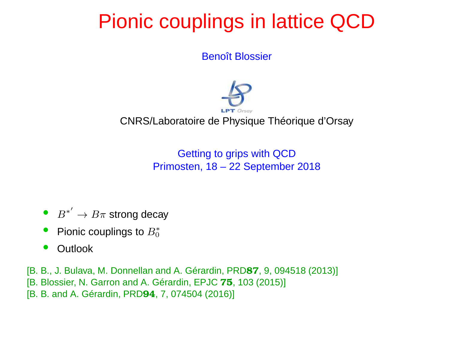## Pionic couplings in lattice QCD

Benoît Blossier



CNRS/Laboratoire de Physique Théorique d'Orsay

Getting to grips with QCDPrimosten, 18 – <sup>22</sup> September 2018

- $\bullet$   $B^*$ ′ $\rightarrow B\pi$  strong decay
- •● Pionic couplings to  $B_0^*$ 0
- •**Outlook**

[B. B., J. Bulava, M. Donnellan and A. Gérardin, PRD87, 9, 094518 (2013)] [B. Blossier, N. Garron and A. Gérardin, EPJC 75, 103 (2015)]<br>[B. B. s.e.l.A. Qérentie, BBBC4, 7, 274524 (2010)] [B. B. and A. Gérardin, PRD94, 7, 074504 (2016)]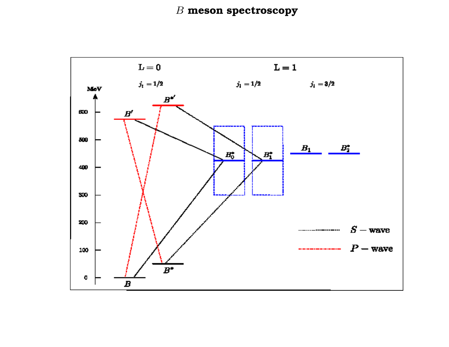### $\, B \,$  meson spectroscopy

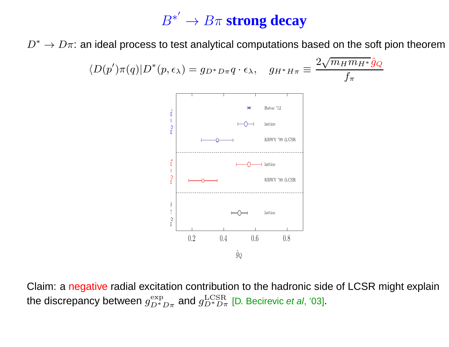# $B^{*'} \to B\pi$  strong decay

 $D^* \to D \pi$ : an ideal process to test analytical computations based on the soft pion theorem



Claim: <sup>a</sup> negative radial excitation contribution to the hadronic side of LCSR might explain the discrepancy between  $g_{D^*D\pi}^{\rm exp}$  and  $g_{D^*D\pi}^{\rm LCSR}$  [D. Becirevic *et al*, '03].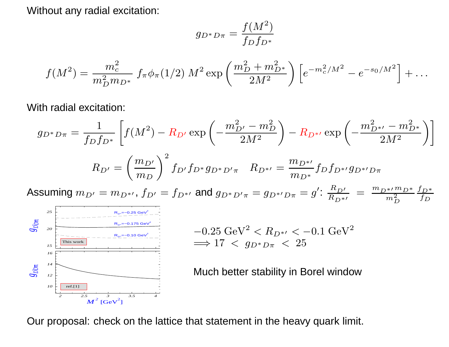Without any radial excitation:

$$
g_{D^*D\pi} = \frac{f(M^2)}{f_D f_{D^*}}
$$

$$
f(M^2) = \frac{m_c^2}{m_D^2 m_{D^*}} f_\pi \phi_\pi (1/2) M^2 \exp\left(\frac{m_D^2 + m_{D^*}^2}{2M^2}\right) \left[e^{-m_c^2/M^2} - e^{-s_0/M^2}\right] + \dots
$$

With radial excitation:

$$
g_{D^*D\pi} = \frac{1}{f_D f_{D^*}} \left[ f(M^2) - R_{D'} \exp\left(-\frac{m_{D'}^2 - m_D^2}{2M^2}\right) - R_{D^{*'}} \exp\left(-\frac{m_{D^{*'}}^2 - m_{D^{*}}^2}{2M^2}\right) \right]
$$

$$
R_{D'} = \left(\frac{m_{D'}}{m_D}\right)^2 f_{D'} f_{D^*} g_{D^*D'\pi} \quad R_{D^{*'}} = \frac{m_{D^{*'}}}{m_{D^*}} f_D f_{D^{*'}} g_{D^{*'}D\pi}
$$

Assuming  $m_{D'} = m_{D^{*\prime}}, f_{D'} = f_{D^{*\prime}}$  and  $g_{D^*D'\pi} = g_{D^{*\prime}D\pi} = g' \colon \frac{R_{D'}}{R_{D^{*\prime}}} = \frac{m_{D^{*\prime}}m_{D^*}}{m_D^2} \frac{f_{D^*}}{f_D}$ 



$$
-0.25 \text{ GeV}^2 < R_{D^{*\prime}} < -0.1 \text{ GeV}^2
$$
  

$$
\implies 17 < g_{D^*D\pi} < 25
$$

Our proposal: check on the lattice that statement in the heavy quark limit.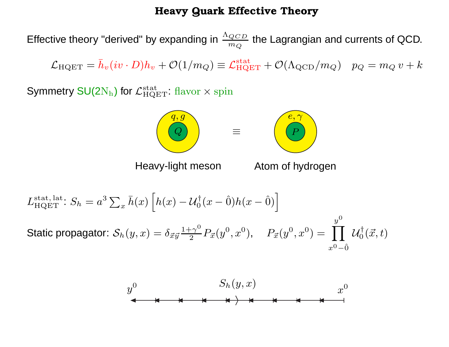#### Heavy Quark Effective Theory

Effective theory "derived" by expanding in  $\Lambda_{QCD}$  $m_{\small Q}$  $\frac{CD}{Q}$  the Lagrangian and currents of QCD.

 $\mathcal{L}_{\rm HQET}=\bar{h}_v(iv\cdot D)h_v+\mathcal{O}(1/m_Q)\equiv\mathcal{L}_{\rm HQET}^{\rm stat}+\mathcal{O}(\Lambda_{\rm QCD}/m_Q)\;\;\;p_Q=m_Q\,v+k$ 

Symmetry SU(2 $\rm N_h$ ) for  $\mathcal{L}_{\rm HQET}^{\rm stat}$ : flavor  $\times$  spin



Heavy-light meson

Atom of hydrogen

$$
L_{\text{HQET}}^{\text{stat, lat.}}: S_h = a^3 \sum_x \bar{h}(x) \left[ h(x) - \mathcal{U}_0^{\dagger}(x - \hat{0}) h(x - \hat{0}) \right]
$$
  
Static propagator: 
$$
\mathcal{S}_h(y, x) = \delta_{\vec{x}\vec{y}} \frac{1 + \gamma^0}{2} P_{\vec{x}}(y^0, x^0), \quad P_{\vec{x}}(y^0, x^0) = \prod_{x^0 - \hat{0}}^{y^0} \mathcal{U}_0^{\dagger}(\vec{x}, t)
$$

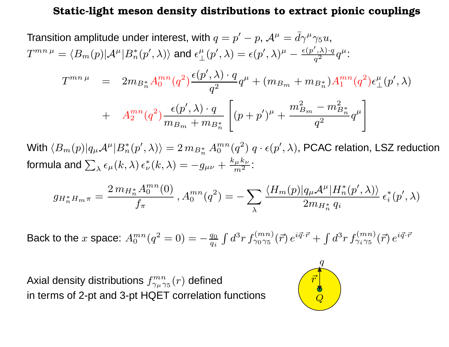#### Static-light meson density distributions to extract pionic couplings

Transition amplitude under interest, with  $q=p'-p$ ,  $\mathcal{A}^{\mu}=$  $T^{mn\,\mu}=\langle B_m(p)|{\cal A}^\mu|B^*_n(p',\lambda)\rangle$  and  $\epsilon_\perp^\mu(p',\lambda)=\epsilon(p',\lambda)^\mu-\frac{\epsilon(p',p')}{q}$  $= \bar{d}\gamma^\mu \gamma_5 u, \nonumber \$  $\langle n^\ast(p^\prime, \lambda)\rangle$  and  $\epsilon_\perp^\mu(p^\prime, \lambda) = \epsilon(p^\prime, \lambda)^\mu - \frac{\epsilon(p^\prime)}{2}$  $\frac{\gamma, \lambda) \cdot q}{q^2} q^{\mu}$  :  $T^{mn\,\mu} \quad = \quad 2 m_{B^*_n}$  $\ _{n}^{\ast}A_{0}^{mn}(q^{2}% ,\theta)$  $\left( \begin{array}{c} 2 \ 1 \end{array} \right)$  $\epsilon(p$  $^{\prime},\lambda)\cdot q$  $\frac{q^2}{q^2}$  q  $\mu^{\mu}+(m_{B_{m}}+m_{B_{m}^{\ast}}% -m_{\mu}+m_{\mu})\mathbb{I}_{m}+m_{\mu}e_{m} \label{eq2}$  $_{n}^{\ast})A_{1}^{mn}(q^{2}% ,\theta)\rightarrow\hat{B}_{n}^{\ast}(\theta)$  $\epsilon$  $_{\perp}^{\mu}$   $(p$  $^{\prime},\lambda)$ 

+ 
$$
A_2^{mn}(q^2) \frac{\epsilon(p', \lambda) \cdot q}{m_{B_m} + m_{B_n^*}} \left[ (p+p')^{\mu} + \frac{m_{B_m}^2 - m_{B_n^*}^2}{q^2} q^{\mu} \right]
$$

With  $\langle B_m(p)|q_\mu\mathcal{A}^\mu|B_n^*$ formula and  $\sum_{\lambda} \epsilon_{\mu}(k,\lambda) \, \epsilon_{\nu}^*(k,\lambda) = -g$  $\langle m_{n}^{*}(p',\lambda)\rangle = 2\, m_{B_{n}^{*}}\, A_{0}^{mn}(q^{2}).$  $^{2})$   $q\cdot\epsilon(p',\lambda)$ , PCAC relation, LSZ reduction  $_{\nu}^{\ast}(k,\lambda)=$  $-g_{\mu\nu}+\frac{k}{\hphantom{1}}$  $\frac{\mu}{\mu}$  $\,k$  $\frac{nv}{2}$  $\frac{\mu}{m^2}$ :

$$
g_{H_n^*H_m\pi} = \frac{2\, m_{H_n^*} A_0^{mn}(0)}{f_\pi} \,, A_0^{mn}(q^2) = - \sum_{\lambda} \frac{\langle H_m(p) | q_\mu \mathcal{A}^\mu | H_n^*(p', \lambda) \rangle}{2m_{H_n^*} q_i} \, \epsilon_i^*(p', \lambda)
$$

Back to the  $x$  space:  $A_0^{mn}(q^2=0) =$  $-\frac{q_0}{q_i}\int d^3r\, f^{(mn)}_{\gamma_0\gamma_5}(\vec{r})\, e^{i\vec{q}\cdot\vec{r}} +\int d^3r\, f^{(mn)}_{\gamma_i\gamma_5}(\vec{r})\, e^{i\vec{q}\cdot\vec{r}}$ 

Axial density distributions  $f_{\gamma_{\mu} \gamma_5}^{mn}(r)$  defined in terms of 2-pt and 3-pt HQET correlation functions

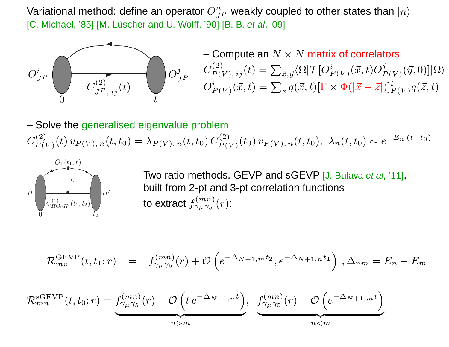Variational method: define an operator  $O^n_J$ [C. Michael, '85] [M. Lüscher and U. Wolff, '90] [B. B. *et al*, '09]  $J^P$  $_P$  weakly coupled to other states than  $|n\rangle$ 



– Compute an  $N\times N$  matrix of correlators  $C^{(2)}_{P(V),\;ij}(t)=\sum_{\vec{x},\vec{y}}% ^{\vec{y},\vec{y}}(\vec{y})\epsilon _{ij}(\vec{y})\epsilon _{ij}(\vec{y})\epsilon _{ij}(\vec{y})\epsilon _{ij}(\vec{y})$  $\langle \Omega | \mathcal{T} [O$  $_{P(V)}^{i}(\vec{x},t)O$  $\displaystyle{\frac{j}{P(V)}}$  $(\vec{y}, 0)]|\Omega\rangle$  $\, O \,$  $_{P(V)}^i(\vec{x},t)=\sum_{\vec{z}}% {(\vec{x},t)}(\vec{x},t)$  ${}_{\vec{z}}\bar{q}(\vec{x},t)[\Gamma$  $\times \Phi(|\vec{x})$  $[-\vec{z}$ <sup> $\hat{z}]$ </sup> $]$  ${}_{P(V)}^i q(\vec{z},t)$ 

– Solve the generalised eigenvalue problem $C^{(2)}_{P(V)}(t)\, v_{P(V),\,n}(t,t_0) = \lambda_{P(V),\,n}(t,t_0)\, C_p'$  $(t) \, v_P$  $P(V), n(t,t_0) = \lambda_P$  $\ _{P(V),\,n}(t,t_{0})\,C_{P(V)}^{(2)}$  $\left( t_{0}\right) v_{P}$  $P(V), n(t, t_0), \ \lambda_n(t, t_0) \sim e^{-t}$ E $n(t-t_0)$ 



Two ratio methods, GEVP and sGEVP [J. Bulava e*t al*, '11], built from 2-pt and 3-pt correlation functionsto extract  $f_{\gamma_\mu \gamma_5}^{(mn)}(r)$ :

$$
\mathcal{R}_{mn}^{\text{GEVP}}(t, t_1; r) = f_{\gamma_{\mu} \gamma_5}^{(mn)}(r) + \mathcal{O}\left(e^{-\Delta_{N+1,m} t_2}, e^{-\Delta_{N+1,n} t_1}\right), \Delta_{nm} = E_n - E_m
$$

$$
\mathcal{R}_{mn}^{\text{sGEVP}}(t, t_0; r) = f_{\gamma_\mu \gamma_5}^{(mn)}(r) + \mathcal{O}\left(t e^{-\Delta_{N+1,n}t}\right), \quad f_{\gamma_\mu \gamma_5}^{(mn)}(r) + \mathcal{O}\left(e^{-\Delta_{N+1,m}t}\right)
$$
\n
$$
n > m
$$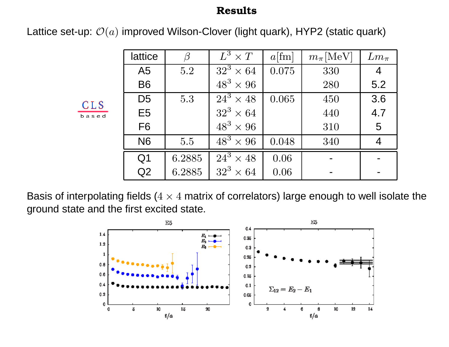#### Results

Lattice set-up:  $\mathcal{O}(a)$  improved Wilson-Clover (light quark), HYP2 (static quark)

|              | lattice        |        | $\overline{L^3} \times T$   | $a$ [fm] | $m_{\pi}$ [MeV] | $L m_\pi$      |
|--------------|----------------|--------|-----------------------------|----------|-----------------|----------------|
| CLS<br>based | A <sub>5</sub> | 5.2    | $32^3 \times 64$            | 0.075    | 330             | $\overline{4}$ |
|              | <b>B6</b>      |        | $48^3 \times 96$            |          | 280             | 5.2            |
|              | D <sub>5</sub> | 5.3    | $\overline{24^3} \times 48$ | 0.065    | 450             | 3.6            |
|              | E <sub>5</sub> |        | $32^3 \times 64$            |          | 440             | 4.7            |
|              | F <sub>6</sub> |        | $48^3 \times 96$            |          | 310             | 5              |
|              | <b>N6</b>      | 5.5    | $\overline{48^3\times 96}$  | 0.048    | 340             | $\overline{4}$ |
|              | Q <sub>1</sub> | 6.2885 | $\overline{24}^3 \times 48$ | 0.06     |                 |                |
|              | Q2             | 6.2885 | $32^3 \times 64$            | 0.06     |                 |                |

Basis of interpolating fields ( $4\times4$  matrix of correlators) large enough to well isolate the<br>sround atote and the first evoited atote ground state and the first excited state.

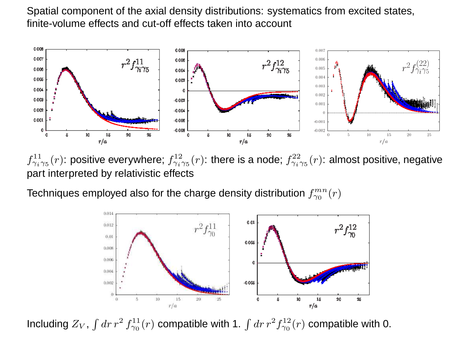Spatial component of the axial density distributions: systematics from excited states, finite-volume effects and cut-off effects taken into account



 $f_{\gamma_i\gamma_5}^{11}(r)$ : positive everywhere;  $f_{\gamma_i\gamma_5}^{12}(r)$ : there is a node;  $f_{\gamma_i\gamma_5}^{22}(r)$ : almost positive, negative part interpreted by relativistic effects

Techniques employed also for the charge density distribution  $f_{\gamma_0}^{mn}(r)$ 



Including  $Z_V$ ,  $\int dr\, r^2$  $^{2}f_{\gamma_{0}}^{11}(r)$  compatible with 1.  $\int dr\, r^{2}$  ${}^2f_{\gamma_0}^{12}(r)$  compatible with 0.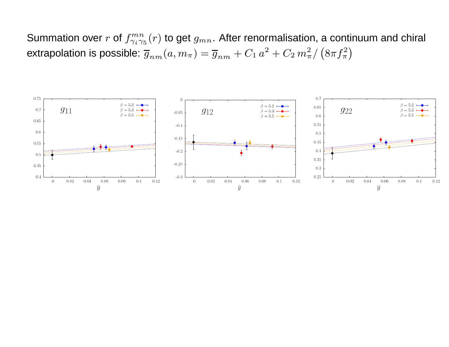Summation over  $r$  of  $f_{\gamma_i\gamma_5}^{mn}(r)$  to get  $g_{mn}.$  After renormalisation, a continuum and chiral extrapolation is possible:  $\overline{g}_{nm}(a, m_\pi) = \overline{g}_{nm} + C_1\,a^2 + C_2\,m_\pi^2/\left(8\pi f_\pi^2\right)$ 

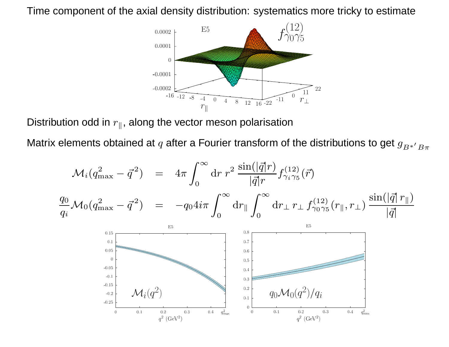Time component of the axial density distribution: systematics more tricky to estimate



Distribution odd in  $r_\parallel$ , along the vector meson polarisation

Matrix elements obtained at  $q$  after a Fourier transform of the distributions to get  $g_{B^{\ast'}}{}_{B\pi}$ 

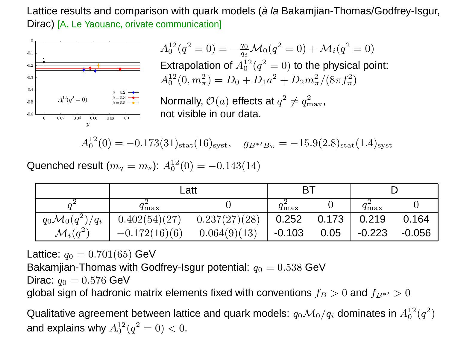Lattice results and comparison with quark models (*à la* Bakamjian-Thomas/Godfrey-Isgur, Dirac) [A. Le Yaouanc, orivate communication]



 $A_0^{12}(q^2=0) =$ Extrapolation of  $A_0^{12}(q^2=0)$  to the physical point:  $-\frac{q_0}{q_i} {\cal M}_0(q^2=0) + {\cal M}_i(q^2=0)$  $A_0^{12}(0,m_\pi^2$  $(\frac{2}{\pi}) = D_0 + D_1 a^2$  $^2+D_2m_\pi^2$  $\frac{2}{\pi}/(8\pi f_\pi^2$  $\binom{2}{\pi}$ 

Normally,  $\mathcal{O}(a)$  effects at  $q^2$  $^{2}\neq q_{\rm n}^{2}$  max,not visible in our data.

 $A_0^{12}$  $_0^{12}(0) =$  $0.173(31)_{\rm stat}(16)_{\rm syst},\quad g_{B^{*\prime}B\pi}=-15.9(2.8)_{\rm stat}(1.4)_{\rm syst}$ 

Quenched result ( $m_q=m_s$ ):  $A_0^{\rm 12}$  $_0^{12}(0) =$  $0.143(14)$ 

|                           | Latt              |               | BT                |               |                 |          |
|---------------------------|-------------------|---------------|-------------------|---------------|-----------------|----------|
|                           | $4\,\mathrm{max}$ |               | $4\,\mathrm{max}$ |               | $q_{\rm max}^-$ |          |
| $q_0 {\cal M}_0(q^2)/q_i$ | 0.402(54)(27)     | 0.237(27)(28) |                   | $0.252$ 0.173 | 0.219           | 0.164    |
| $\mathcal{M}_i(q^2)$      | $-0.172(16)(6)$   | 0.064(9)(13)  | . -0.103          | 0.05          | $-0.223$        | $-0.056$ |

Lattice:  $q_0=0.701(65)$  GeV

Bakamjian-Thomas with Godfrey-Isgur potential:  $q_0=0.538$  GeV

Dirac:  $q_0=0.576$  GeV

global sign of hadronic matrix elements fixed with conventions  $f_B>0$  and  $f_{B^{\ast\prime}}>0$ 

Qualitative agreement between lattice and quark models:  $q_0 {\cal M}_0/q_i$  dominates in  $A_0^{12}(q^2)$  $^{2})$ and explains why  $A_0^{12}(q^2=0) < 0.$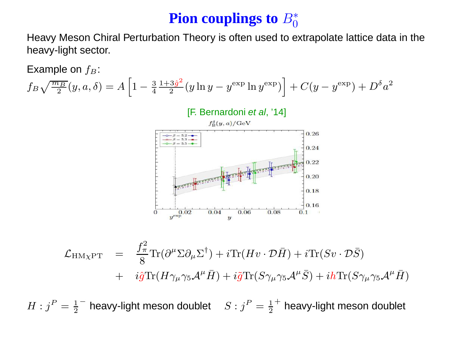## ${\bf P}$ ion couplings to  $B^*_0$

 Heavy Meson Chiral Perturbation Theory is often used to extrapolate lattice data in theheavy-light sector.

Example on  $f_B$ :

$$
f_B \sqrt{\frac{m_B}{2}} (y, a, \delta) = A \left[ 1 - \frac{3}{4} \frac{1 + 3\hat{g}^2}{2} (y \ln y - y^{\text{exp}} \ln y^{\text{exp}}) \right] + C (y - y^{\text{exp}}) + D^{\delta} a^2
$$



$$
\mathcal{L}_{HM\chi PT} = \frac{f_{\pi}^2}{8} \text{Tr}(\partial^{\mu} \Sigma \partial_{\mu} \Sigma^{\dagger}) + i \text{Tr}(Hv \cdot \mathcal{D}\bar{H}) + i \text{Tr}(Sv \cdot \mathcal{D}\bar{S}) \n+ i\hat{g} \text{Tr}(H\gamma_{\mu}\gamma_5 \mathcal{A}^{\mu}\bar{H}) + i\tilde{g} \text{Tr}(S\gamma_{\mu}\gamma_5 \mathcal{A}^{\mu}\bar{S}) + ih \text{Tr}(S\gamma_{\mu}\gamma_5 \mathcal{A}^{\mu}\bar{H})
$$

 $H : j^P = \frac{1}{2}^-$  heavy-light meson doublet  $S : j^P = \frac{1}{2}^+$  heavy-light meson doublet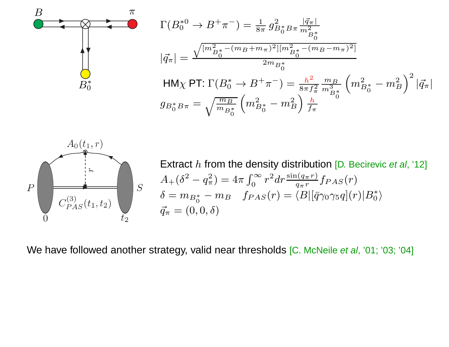$$
\Gamma(B_0^{*0} \to B^+\pi^-) = \frac{1}{8\pi} g_{B_0^*B\pi}^2 \frac{|\vec{q}_{\pi}|}{m_{B_0^*}^2}
$$

$$
|\vec{q}_{\pi}| = \frac{\sqrt{[m_{B_0^*}^2 - (m_B + m_{\pi})^2][m_{B_0^*}^2 - (m_B - m_{\pi})^2]}}{2m_{B_0^*}}
$$
HM<sub>X</sub> PT:  $\Gamma(B_0^* \to B^+\pi^-) = \frac{h^2}{8\pi f_{\pi}^2} \frac{m_B}{m_{B_0^*}^3} \left(m_{B_0^*}^2 - m_B^2\right)^2 |\vec{q}_{\pi}|$ 
$$
g_{B_0^*B\pi} = \sqrt{\frac{m_B}{m_{B_0^*}}} \left(m_{B_0^*}^2 - m_B^2\right) \frac{h}{f_{\pi}}
$$



 $B_0^*$ 

B

Extract  $h$  from the density distribution [D. Becirevic *et al*, '12]  $A_+(\delta^2 - q_\pi^2) = 4\pi \int_0^\infty r^2 dr \frac{\sin(q_\pi r)}{q_\pi r} f_{PAS}(r)$  $\delta = m_{B_0^*} - m_B \quad f_{PAS}(r) = \langle B|[\bar{q}\gamma_0\gamma_5q](r)|B_0^*\rangle$  $\vec{q}_\pi = (0,0,\delta)$ 

We have followed another strategy, valid near thresholds [C. McNeile *et al*, '01; '03; '04]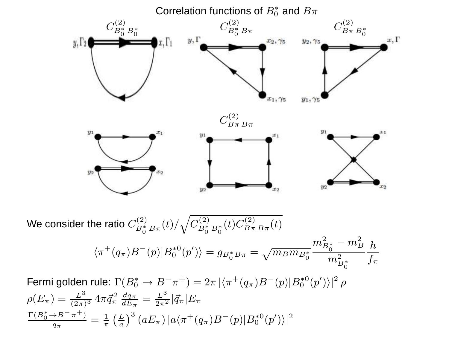

We consider the ratio  $C^{(2)}_{B_0^* \, B \pi}(t)/\sqrt{C^{(2)}_{B_0^* \, B_0^*}(t) C^{(2)}_{B \pi \, B \pi}(t)}$  $\langle \pi^+(q_\pi) B^-(p) | B_0^{*0}(p') \rangle = g_{B_0^* B \pi} = \sqrt{m_B m_{B_0^*}}$  $\frac{1}{\sqrt[8]{\pi^8}}\frac{m_{B_0^*}^2-m_B^2}{m_{B_0^*}^2}\frac{h}{f_\pi}$ Fermi golden rule:  $\Gamma(B_0^* \to B^- \pi^+) = 2\pi \, |\langle \pi^+(q_\pi) B^-(p) | B_0^{*0}(p') \rangle|^2 \, \rho$ 

$$
\rho(E_{\pi}) = \frac{L^3}{(2\pi)^3} 4\pi \vec{q}_{\pi}^2 \frac{dq_{\pi}}{dE_{\pi}} = \frac{L^3}{2\pi^2} |\vec{q}_{\pi}| E_{\pi}
$$

$$
\frac{\Gamma(B_0^* \to B^- \pi^+)}{q_{\pi}} = \frac{1}{\pi} \left(\frac{L}{a}\right)^3 (aE_{\pi}) |a \langle \pi^+(q_{\pi}) B^-(p) | B_0^*(p') \rangle|^2
$$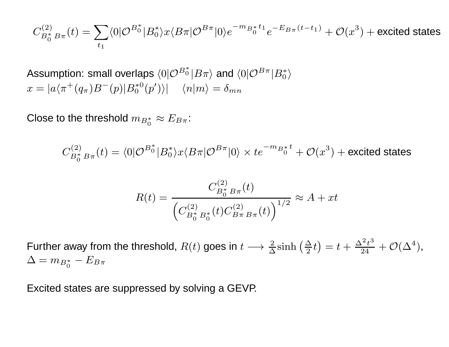$$
C_{B_0^* B \pi}^{(2)}(t) = \sum_{t_1} \langle 0 | \mathcal{O}^{B_0^*} | B_0^* \rangle x \langle B \pi | \mathcal{O}^{B \pi} | 0 \rangle e^{-m_{B_0^*} t_1} e^{-E_{B \pi} (t - t_1)} + \mathcal{O}(x^3) + \text{excited states}
$$

Assumption: small overlaps  $\langle 0|\mathcal{O}^{B_{0}^{\ast}}|B\pi\rangle$  and  $\langle 0|\mathcal{O}^{B\pi}|B_{0}^{\ast}\rangle$  $x = |a\langle \pi^+(q_\pi)B^-(p)|B_0^{*0}(p')\rangle| \quad \langle n|m\rangle = \delta_{mn}$ 

Close to the threshold  $m_{B_0^*}\approx E_{B\pi}$ :

 $C^{(2)}_{B_0^* B\pi}(t)=\langle 0|\mathcal{O}^{B_0^*}|B_0^*\rangle x\langle B\pi|\mathcal{O}^{B\pi}|0\rangle\times te^{-m_{B_0^*}t}+\mathcal{O}(x^3)+$  excited states

$$
R(t) = \frac{C_{B_0^* B \pi}^{(2)}(t)}{\left(C_{B_0^* B_0^*}^{(2)}(t) C_{B \pi B \pi}^{(2)}(t)\right)^{1/2}} \approx A + xt
$$

Further away from the threshold,  $R(t)$  goes in  $t\longrightarrow$  $\rightarrow \frac{2}{\Delta} \sinh\left(\frac{\Delta}{2}t\right) = t + \frac{\Delta^2 t^3}{24} + \mathcal{O}(\Delta^4),$  $\Delta = m_{B_0^*} - E_{B\pi}$ 

Excited states are suppressed by solving <sup>a</sup> GEVP.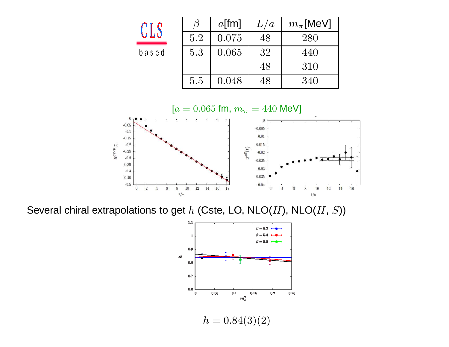| י די    |     | $a$ [fm] | L/a | $m_{\pi}$ [MeV] |
|---------|-----|----------|-----|-----------------|
| ل يا ر  | 5.2 | 0.075    | 48  | 280             |
| a s e d | 5.3 | 0.065    | 32  | 440             |
|         |     |          | 48  | 310             |
|         | 5.5 | 0.048    | 48  | 340             |



Several chiral extrapolations to get  $h$  (Cste, LO, NLO( $H$ ), NLO( $H, \, S$ ))

 $\mathbf b$ 

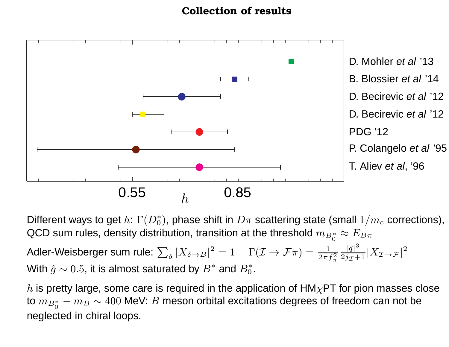#### Collection of results



Different ways to get  $h\colon\Gamma(D_0^*),$  phase shift in  $D\pi$  scattering state (small  $1/m_c$  corrections), QCD sum rules, density distribution, transition at the threshold  $m_{B_0^*}\approx E_{B\pi}$ 

Adler-Weisberger sum rule:  $\sum_{\delta} |X_{\delta\to B}|^2 = 1 \hspace{4mm}\Gamma({\cal I}\to {\cal F}\pi) = \frac{1}{2\pi f_\pi^2} \frac{|\vec{q}|^3}{2j_{\cal I}+1} |X_{{\cal I}\to {\cal F}}|^2$ With  $\hat{g} \sim 0.5$ , it is almost saturated by  $B^*$  and  $B^*_0.$ 

 $h$  is pretty large, some care is required in the application of  $\mathsf{HM}\chi\mathsf{PT}$  for pion masses close to  $m_{B_0^*}-m_B\sim 400$  MeV:  $B$  meson orbital excitations degrees of freedom can not be neglected in chiral loops.